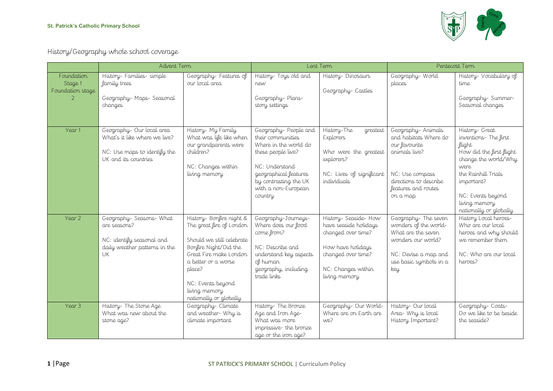

History/Geography whole school coverage

|                                           | Advent Term                                                                                                       |                                                                                                                                                                                                                                       | Lent Term                                                                                                                                                                                      |                                                                                                                                                       | Pentecost Term                                                                                                                                               |                                                                                                                                                                                                                   |
|-------------------------------------------|-------------------------------------------------------------------------------------------------------------------|---------------------------------------------------------------------------------------------------------------------------------------------------------------------------------------------------------------------------------------|------------------------------------------------------------------------------------------------------------------------------------------------------------------------------------------------|-------------------------------------------------------------------------------------------------------------------------------------------------------|--------------------------------------------------------------------------------------------------------------------------------------------------------------|-------------------------------------------------------------------------------------------------------------------------------------------------------------------------------------------------------------------|
| Foundation<br>Stage 1<br>Foundation stage | History-Families-simple<br>family trees<br>Geography- Maps- Seasonal<br>changes                                   | Geography-Features of<br>our local area                                                                                                                                                                                               | History- Toys old and<br>new<br>Geography-Plans-<br>story settings                                                                                                                             | History-Dinosaurs<br>Geography-Castles                                                                                                                | Geography-World<br>places                                                                                                                                    | History- Vocabulary of<br>time<br>Geography-Summer-<br>Seasonal changes                                                                                                                                           |
| Year 1                                    | Geography-Our local area<br>What's it like where we live?<br>NC: Use maps to identify the<br>UK and its countries | History- My Family<br>What was life like when<br>our grandparents were<br>children?<br>NC: Changes within<br>living memory                                                                                                            | Geography-People and<br>their communities<br>Where in the world do<br>these people live?<br>NC: Understand<br>geographical features<br>by contrasting the UK<br>with a non-European<br>country | History-The<br>greatest<br><b>Explorers</b><br>Who were the greatest<br>explorers?<br>NC: Lives of significant<br>individuals                         | Geography-Animals<br>and habitats Where do<br>our favourite<br>animals live?<br>NC: Use compass<br>directions to describe<br>features and routes<br>on a map | History- Great<br>inventions-The first<br>flight<br>How did the first flight<br>change the world/Why<br>were<br>the Rainhill Trials<br>important?<br>NC: Events beyond<br>living memory<br>nationally or globally |
| Year 2                                    | Geography-Seasons-What<br>are seasons?<br>NC: identify seasonal and<br>daily weather patterns in the<br>UK        | History- Bonfire night &<br>The great fire of London<br>Should we still celebrate<br>Bonfire Night/Did the<br>Great Fire make London<br>a better or a worse<br>place?<br>NC: Events beyond<br>living memory<br>nationally or globally | Geography-Journeys-<br>Where does our food<br>come from?<br>NC: Describe and<br>understand key aspects<br>of human<br>geography, including<br>trade links                                      | History- Seaside-How<br>have seaside holidays<br>changed over time?<br>How have holidays<br>changed over time?<br>NC: Changes within<br>living memory | Geography-The seven<br>wonders of the world-<br>What are the seven<br>wonders our world?<br>NC: Devise a map and<br>use basic symbols in a<br>key            | History Local heroes-<br>Who are our local<br>heroes and why should<br>we remember them<br>NC: Who are our local<br>heroes?                                                                                       |
| Year <sub>3</sub>                         | History-The Stone Age<br>What was new about the<br>stone age?                                                     | Geography-Climate<br>and weather- Why is<br>climate important                                                                                                                                                                         | History-The Bronze<br>Age and Iron Age-<br>What was more<br>impressive-the bronze<br>age or the iron age?                                                                                      | Geography-Our World-<br>Where are on Earth are<br>we?                                                                                                 | History- Our local<br>Area- Why is local<br>History Important?                                                                                               | Geography-Coats-<br>Do we like to be beside<br>the seaside?                                                                                                                                                       |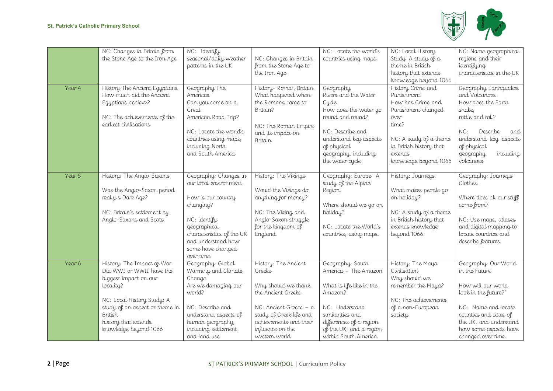

| Year 4 | NC: Changes in Britain from<br>the Stone Age to the Iron Age<br>History The Ancient Egyptians<br>How much did the Ancient<br>Egyptians achieve?<br>NC: The achievements of the                                           | NC: Identify<br>seasonal/daily weather<br>patterns in the UK<br>Geography The<br>Americas<br>Can you come on a<br>Great<br>American Road Trip?                                                           | NC: Changes in Britain<br>from the Stone Age to<br>the Iron Age<br>History- Roman Britain<br>What happened when<br>the Romans came to<br>Britain?                                               | NC: Locate the world's<br>countries using maps<br>Geography<br>Rivers and the Water<br>Cycle<br>How does the water go<br>round and round?                                                           | NC: Local History<br>Study: A study of a<br>theme in British<br>history that extends<br>knowledge beyond 1066<br>History Crime and<br>Punishment<br>How has Crime and<br>Punishment changed<br>over | NC: Name geographical<br>regions and their<br>identifying<br>characteristics in the UK<br>Geography Earthquakes<br>and Volcanoes<br>How does the Earth<br>shake,<br>rattle and roll?                         |
|--------|--------------------------------------------------------------------------------------------------------------------------------------------------------------------------------------------------------------------------|----------------------------------------------------------------------------------------------------------------------------------------------------------------------------------------------------------|-------------------------------------------------------------------------------------------------------------------------------------------------------------------------------------------------|-----------------------------------------------------------------------------------------------------------------------------------------------------------------------------------------------------|-----------------------------------------------------------------------------------------------------------------------------------------------------------------------------------------------------|--------------------------------------------------------------------------------------------------------------------------------------------------------------------------------------------------------------|
|        | earliest civilisations                                                                                                                                                                                                   | NC: Locate the world's<br>countries using maps,<br>including North<br>and South America                                                                                                                  | NC: The Roman Empire<br>and its impact on<br><b>Britain</b>                                                                                                                                     | NC: Describe and<br>understand key aspects<br>of physical<br>geography, including<br>the water cycle                                                                                                | time?<br>NC: A study of a theme<br>in British history that<br>extends<br>knowledge beyond 1066                                                                                                      | NC:<br>Describe<br>and<br>understand key aspects<br>of physical<br>geography,<br>including<br>volcanoes                                                                                                      |
| Year 5 | History: The Anglo-Saxons.<br>Was the Anglo-Saxon period<br>really s Dark Age?<br>NC: Britain's settlement by<br>Anglo-Saxons and Scots.                                                                                 | Geography: Changes in<br>our local environment.<br>How is our country<br>changing?<br>NC: identify<br>geographical<br>characteristics of the UK<br>and understand how<br>some have changed<br>over time. | History: The Vikings<br>Would the Vikings do<br>anything for money?<br>NC: The Viking and<br>Anglo-Saxon struggle<br>for the kingdom of<br>England.                                             | Geography: Europe-A<br>study of the Alpine<br>Region.<br>Where should we go on<br>holiday?<br>NC: Locate the World's<br>countries, using maps.                                                      | History: Journeys.<br>What makes people go<br>on holiday?<br>NC: A study of a theme<br>in British history that<br>extends knowledge<br>beyond 1066.                                                 | Geography: Journeys-<br>Clothes.<br>Where does all our stuff<br>come from?<br>NC: Use maps, atlases<br>and digital mapping to<br>locate countries and<br>describe features.                                  |
| Year 6 | History: The Impact of War<br>Did WWI or WWII have the<br>biggest impact on our<br>locality?<br>NC: Local History Study: A<br>study of an aspect or theme in<br>British<br>history that extends<br>knowledge beyond 1066 | Geography: Global<br>Warming and Climate<br>Change<br>Are we damaging our<br>world?<br>NC: Describe and<br>understand aspects of<br>human geography,<br>including settlement<br>and land use             | History: The Ancient<br>Greeks<br>Why should we thank<br>the Ancient Greeks<br>NC: Ancient Greece - a<br>study of Greek life and<br>achievements and their<br>influence on the<br>western world | Geography: South<br>America - The Amazon<br>What is life like in the<br>Amazon?<br>NC: Understand<br>similarities and<br>differences of a region<br>of the UK, and a region<br>within South America | History: The Maya<br>Civilisation<br>Why should we<br>remember the Maya?<br>NC: The achievements<br>of a non-European<br>society                                                                    | Geography: Our World<br>in the Future<br>How will our world<br>look in the future?"<br>NC: Name and locate<br>counties and cities of<br>the UK, and understand<br>how some aspects have<br>changed over time |